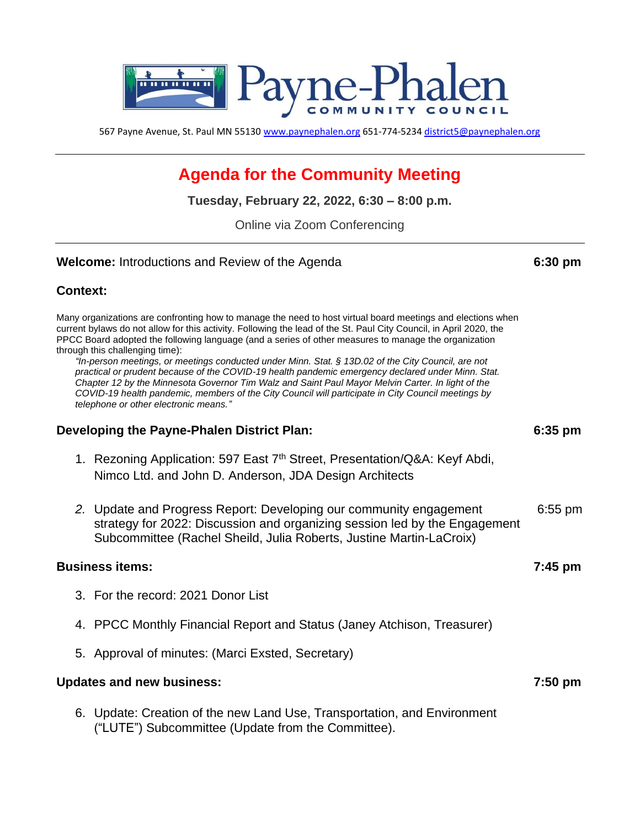

567 Payne Avenue, St. Paul MN 55130 [www.paynephalen.org](http://www.paynephalen.org/) 651-774-5234 [district5@paynephalen.org](mailto:district5@paynephalen.org)

# **Agenda for the Community Meeting**

**Tuesday, February 22, 2022, 6:30 – 8:00 p.m.**

Online via Zoom Conferencing

#### **Welcome:** Introductions and Review of the Agenda **6:30 pm**

## **Context:**

Many organizations are confronting how to manage the need to host virtual board meetings and elections when current bylaws do not allow for this activity. Following the lead of the St. Paul City Council, in April 2020, the PPCC Board adopted the following language (and a series of other measures to manage the organization through this challenging time):

*"In-person meetings, or meetings conducted under Minn. Stat. § 13D.02 of the City Council, are not practical or prudent because of the COVID-19 health pandemic emergency declared under Minn. Stat. Chapter 12 by the Minnesota Governor Tim Walz and Saint Paul Mayor Melvin Carter. In light of the COVID-19 health pandemic, members of the City Council will participate in City Council meetings by telephone or other electronic means."*

### **Developing the Payne-Phalen District Plan: 6:35 pm**

- 1. Rezoning Application: 597 East 7<sup>th</sup> Street, Presentation/Q&A: Keyf Abdi, Nimco Ltd. and John D. Anderson, JDA Design Architects
- *2.* Update and Progress Report: Developing our community engagement 6:55 pm strategy for 2022: Discussion and organizing session led by the Engagement Subcommittee (Rachel Sheild, Julia Roberts, Justine Martin-LaCroix)

#### **Business items: 7:45 pm**

- 3. For the record: 2021 Donor List
- 4. PPCC Monthly Financial Report and Status (Janey Atchison, Treasurer)
- 5. Approval of minutes: (Marci Exsted, Secretary)

#### **Updates and new business: 7:50 pm**

6. Update: Creation of the new Land Use, Transportation, and Environment ("LUTE") Subcommittee (Update from the Committee).